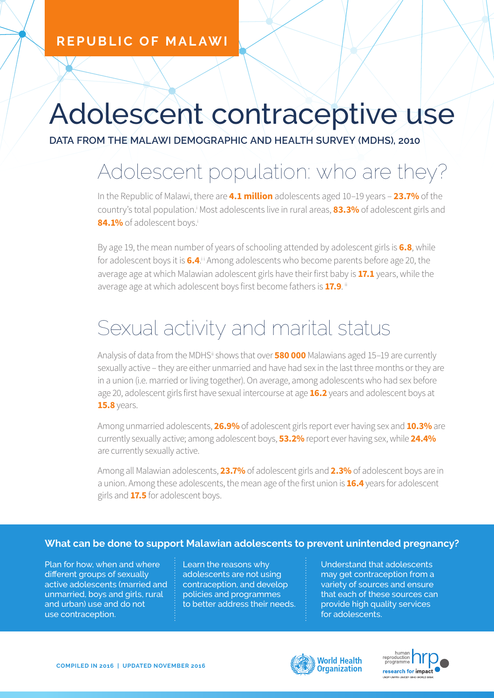#### **REPUBLIC OF MALAWI**

# Adolescent contraceptive use

**DATA FROM THE MALAWI DEMOGRAPHIC AND HEALTH SURVEY (MDHS), 2010**

## Adolescent population: who are they?

In the Republic of Malawi, there are **4.1 million** adolescents aged 10–19 years – **23.7%** of the country's total population.<sup>i</sup> Most adolescents live in rural areas, **83.3%** of adolescent girls and 84.1% of adolescent boys.<sup>i</sup>

By age 19, the mean number of years of schooling attended by adolescent girls is **6.8**, while for adolescent boys it is **6.4**.<sup>i</sup> Among adolescents who become parents before age 20, the average age at which Malawian adolescent girls have their first baby is **17.1** years, while the average age at which adolescent boys first become fathers is **17.9**. ii

### Sexual activity and marital status

Analysis of data from the MDHS<sup>ii</sup> shows that over **580 000** Malawians aged 15-19 are currently sexually active – they are either unmarried and have had sex in the last three months or they are in a union (i.e. married or living together). On average, among adolescents who had sex before age 20, adolescent girls first have sexual intercourse at age **16.2** years and adolescent boys at **15.8** years.

Among unmarried adolescents, **26.9%** of adolescent girls report ever having sex and **10.3%** are currently sexually active; among adolescent boys, **53.2%** report ever having sex, while **24.4%** are currently sexually active.

Among all Malawian adolescents, **23.7%** of adolescent girls and **2.3%** of adolescent boys are in a union. Among these adolescents, the mean age of the first union is **16.4** years for adolescent girls and **17.5** for adolescent boys.

#### **What can be done to support Malawian adolescents to prevent unintended pregnancy?**

Plan for how, when and where different groups of sexually active adolescents (married and unmarried, boys and girls, rural and urban) use and do not use contraception.

Learn the reasons why adolescents are not using contraception, and develop policies and programmes to better address their needs. Understand that adolescents may get contraception from a variety of sources and ensure that each of these sources can provide high quality services for adolescents.



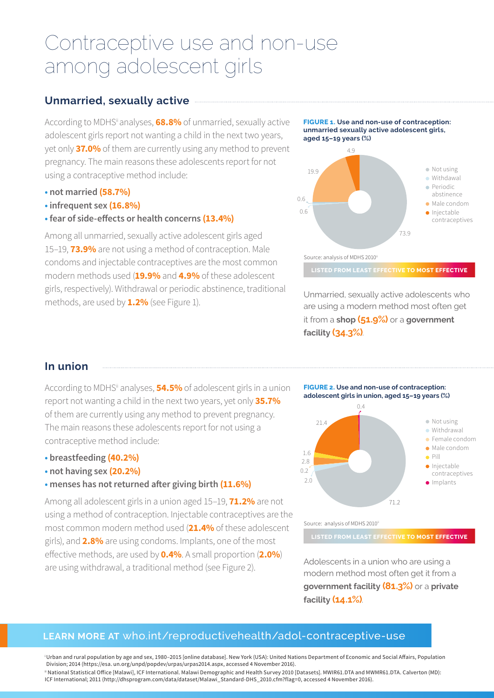### Contraceptive use and non-use among adolescent girls

#### **Unmarried, sexually active**

According to MDHS<sup>ii</sup> analyses, **68.8%** of unmarried, sexually active adolescent girls report not wanting a child in the next two years, yet only **37.0%** of them are currently using any method to prevent pregnancy. The main reasons these adolescents report for not using a contraceptive method include:

- **not married (58.7%)**
- **infrequent sex (16.8%)**
- **fear of side-effects or health concerns (13.4%)**

Among all unmarried, sexually active adolescent girls aged 15–19, **73.9%** are not using a method of contraception. Male condoms and injectable contraceptives are the most common modern methods used (**19.9%** and **4.9%** of these adolescent girls, respectively). Withdrawal or periodic abstinence, traditional methods, are used by **1.2%** (see Figure 1).



**LISTED FROM LEAST EFFECTIVE TO MOST EFFECTIVE** Source: analysis of MDHS 2010<sup>ii</sup>

**FIGURE 2. Use and non-use of contraception: adolescent girls in union, aged 15–19 years (%)**

Unmarried, sexually active adolescents who are using a modern method most often get it from a **shop (51.9%)** or a **government facility (34.3%)**.

73.9

#### **In union**

According to MDHSii analyses, **54.5%** of adolescent girls in a union report not wanting a child in the next two years, yet only **35.7%** of them are currently using any method to prevent pregnancy. The main reasons these adolescents report for not using a contraceptive method include:

- **breastfeeding (40.2%)**
- **not having sex (20.2%)**
- **menses has not returned after giving birth (11.6%)**

Among all adolescent girls in a union aged 15–19, **71.2%** are not using a method of contraception. Injectable contraceptives are the most common modern method used (**21.4%** of these adolescent girls), and **2.8%** are using condoms. Implants, one of the most effective methods, are used by **0.4%**. A small proportion (**2.0%**) are using withdrawal, a traditional method (see Figure 2).

 $\bullet$  Not using **·** Withdrawal Female condom Male condom  $\bullet$  Pill  $\bullet$  Injectable contraceptives **Implants** 21.4  $0.4$ 2.8 2.0 1.6

Source: analysis of MDHS 2010<sup>ii</sup>

0.2

**LISTED FROM LEAST EFFECTIVE TO MOST EFFECTIVE**

71.2

Adolescents in a union who are using a modern method most often get it from a **government facility (81.3%)** or a **private facility (14.1%)**.

#### **LEARN MORE AT** who.int/reproductivehealth/adol-contraceptive-use

i Urban and rural population by age and sex, 1980–2015 [online database]. New York (USA): United Nations Department of Economic and Social Affairs, Population Division; 2014 (https://esa. un.org/unpd/popdev/urpas/urpas2014.aspx, accessed 4 November 2016). # National Statistical Office [Malawi], ICF International. Malawi Demographic and Health Survey 2010 [Datasets]. MWIR61.DTA and MWMR61.DTA. Calverton (MD):

ICF International; 2011 (http://dhsprogram.com/data/dataset/Malawi\_Standard-DHS\_2010.cfm?flag=0, accessed 4 November 2016).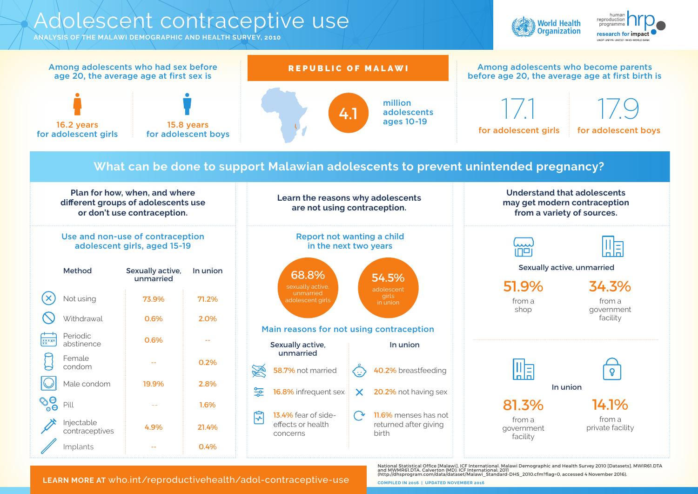### Adolescent contraceptive use

**ANALYSIS OF THE MALAWI DEMOGRAPHIC AND HEALTH SURVEY, 2010**







**LEARN MORE AT** who.int/reproductivehealth/adol-contraceptive-use

National Statistical Office [Malawi], ICF International. Malawi Demographic and Health Survey 2010 [Datasets]. MWIR61.DTA<br>and MWMR61.DTA. Calverton (MD): ICF International; 2011<br>(http://dhsprogram.com/data/dataset/Malawi

**COMPILED IN 2016 | UPDATED NOVEMBER 2016**